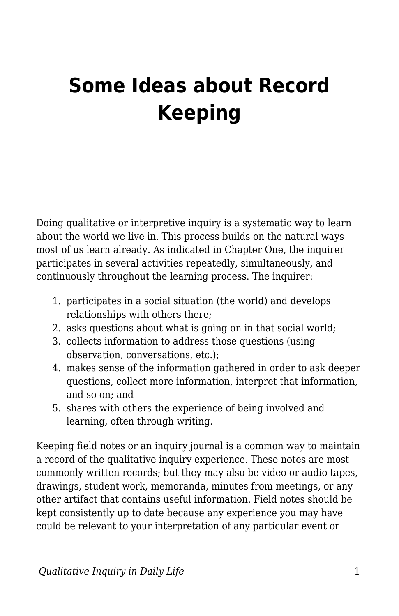## **Some Ideas about Record Keeping**

Doing qualitative or interpretive inquiry is a systematic way to learn about the world we live in. This process builds on the natural ways most of us learn already. As indicated in Chapter One, the inquirer participates in several activities repeatedly, simultaneously, and continuously throughout the learning process. The inquirer:

- 1. participates in a social situation (the world) and develops relationships with others there;
- 2. asks questions about what is going on in that social world;
- 3. collects information to address those questions (using observation, conversations, etc.);
- 4. makes sense of the information gathered in order to ask deeper questions, collect more information, interpret that information, and so on; and
- 5. shares with others the experience of being involved and learning, often through writing.

Keeping field notes or an inquiry journal is a common way to maintain a record of the qualitative inquiry experience. These notes are most commonly written records; but they may also be video or audio tapes, drawings, student work, memoranda, minutes from meetings, or any other artifact that contains useful information. Field notes should be kept consistently up to date because any experience you may have could be relevant to your interpretation of any particular event or